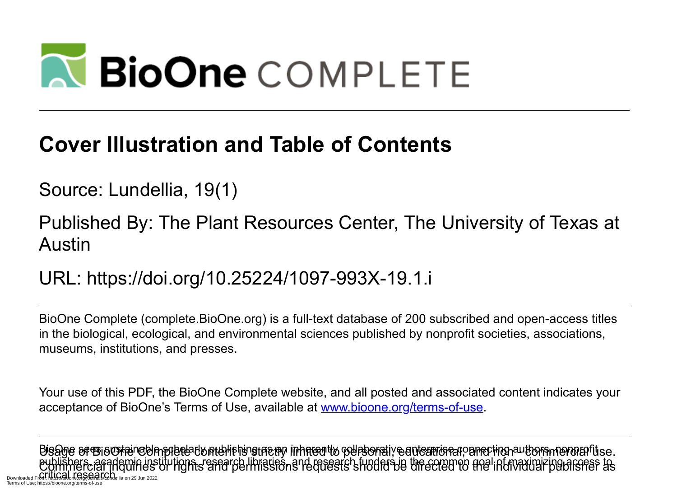# **N BioOne COMPLETE**

### **Cover Illustration and Table of Contents**

Source: Lundellia, 19(1)

Published By: The Plant Resources Center, The University of Texas at Austin

URL: https://doi.org/10.25224/1097-993X-19.1.i

BioOne Complete (complete.BioOne.org) is a full-text database of 200 subscribed and open-access titles in the biological, ecological, and environmental sciences published by nonprofit societies, associations, museums, institutions, and presses.

Your use of this PDF, the BioOne Complete website, and all posted and associated content indicates your acceptance of BioOne's Terms of Use, available at www.bioone.org/terms-of-use.

Usage of BioOne Complete content is strictly limited to personal, educational, and non - commercial use. Commercial inquiries or rights and permissions requests should be directed to the individual publisher as BioOne sees sustainable scholarly publishing as an inherently collaborative enterprise connecting authors, nonprofit publishers, academic institutions, research libraries, and research funders in the common goal of maximizing access to Downloaded From: https://bioone.org/index.pdf/11.12111000111000111000111000111000 Terms of Use: https://bioone.org/terms-of-use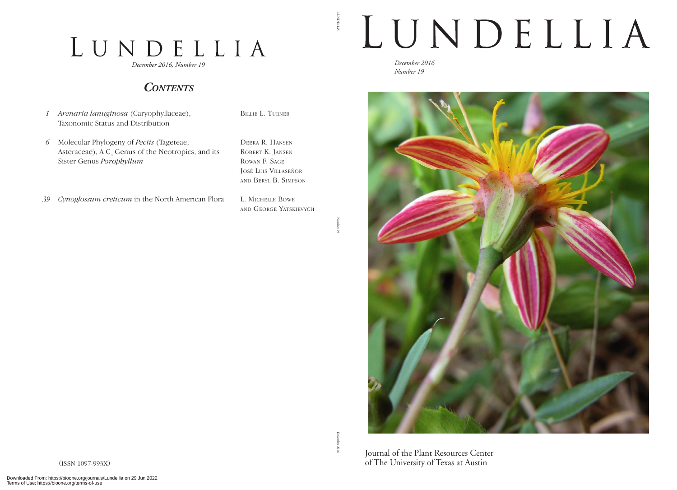## LUNDELLIA

*December 2016, Number 19*

#### *Contents*

- *1 Arenaria lanuginosa* (Caryophyllaceae), Taxonomic Status and Distribution
- *6* Molecular Phylogeny of *Pectis* (Tageteae, Asteraceae), A  $C_4$  Genus of the Neotropics, and its Sister Genus *Porophyllum*

Debra R. Hansen ROBERT K. JANSEN Rowan F. Sage José Luis Villaseñor and Beryl B. Simpson

L. Michelle Bowe and George Yatskievych

Billie L. Turner

*39 Cynoglossum creticum* in the North American Flora

Number 19

LUNDELLIA

**LUNDELLA** 

## LUNDELLIA

*December 2016 Number 19*



December 2016 2016

Journal of the Plant Resources Center of The University of Texas at Austin

(ISSN 1097-993X)